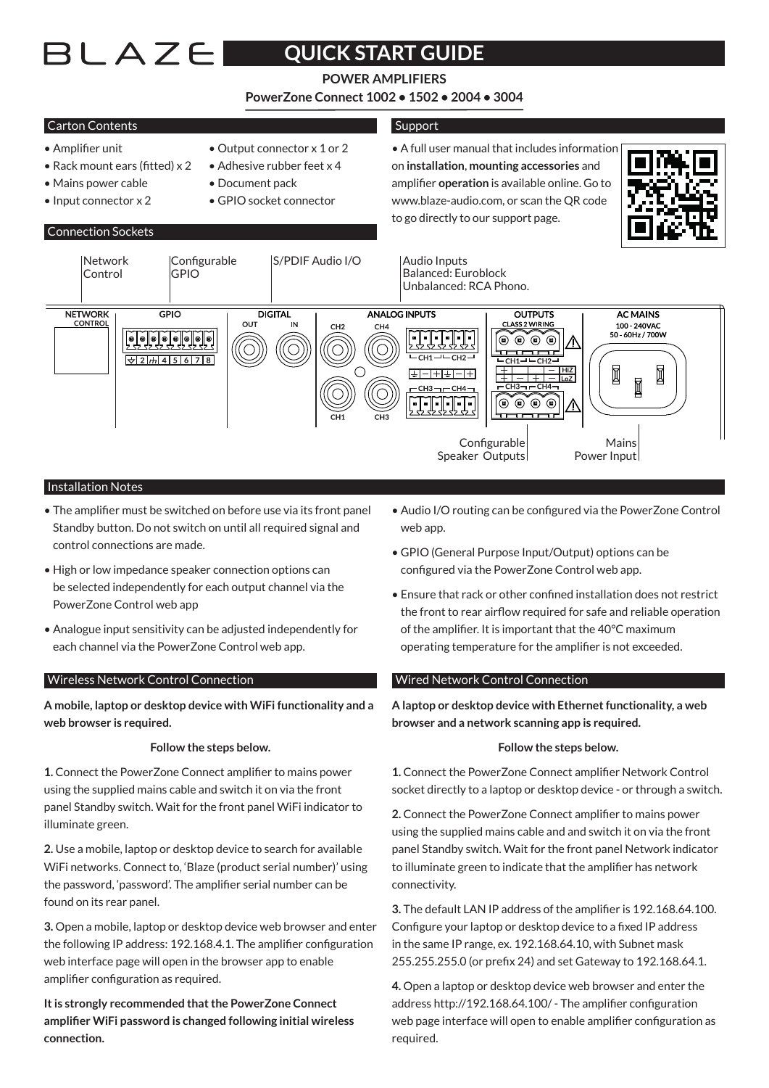# BLAZEI

# **ACCES AND THE QUICK START GUIDE**

# **POWER AMPLIFIERS**

**PowerZone Connect 1002 • 1502 • 2004 • 3004**

# Carton Contents

### • Amplifier unit • Output connector x 1 or 2

- Rack mount ears (fitted)  $x^2 \rightarrow$  Adhesive rubber feet  $x^4$
- Mains power cable Document pack
- Input connector x 2 GPIO socket connector

Connection Sockets

- 
- -

# Support

• A full user manual that includes information on **installation**, **mounting accessories** and amplifier **operation** is available online. Go to www.blaze-audio.com, or scan the QR code to go directly to our support page.





## **Installation Notes**

- The amplifier must be switched on before use via its front panel Standby button. Do not switch on until all required signal and control connections are made.
- High or low impedance speaker connection options can be selected independently for each output channel via the PowerZone Control web app
- Analogue input sensitivity can be adjusted independently for each channel via the PowerZone Control web app.

#### Wireless Network Control Connection

**A mobile, laptop or desktop device with WiFi functionality and a web browser is required.**

#### **Follow the steps below.**

**1.** Connect the PowerZone Connect amplifier to mains power using the supplied mains cable and switch it on via the front panel Standby switch. Wait for the front panel WiFi indicator to illuminate green.

**2.** Use a mobile, laptop or desktop device to search for available WiFi networks. Connect to, 'Blaze (product serial number)' using the password, 'password'. The amplifier serial number can be found on its rear panel.

**3.** Open a mobile, laptop or desktop device web browser and enter the following IP address: 192.168.4.1. The amplifier configuration web interface page will open in the browser app to enable amplifier configuration as required.

**It is strongly recommended that the PowerZone Connect amplifier WiFi password is changed following initial wireless connection.**

- Audio I/O routing can be configured via the PowerZone Control web app.
- GPIO (General Purpose Input/Output) options can be configured via the PowerZone Control web app.
- Ensure that rack or other confined installation does not restrict the front to rear airflow required for safe and reliable operation of the amplifier. It is important that the 40°C maximum operating temperature for the amplifier is not exceeded.

## Wired Network Control Connection

**A laptop or desktop device with Ethernet functionality, a web browser and a network scanning app is required.**

#### **Follow the steps below.**

**1.** Connect the PowerZone Connect amplifier Network Control socket directly to a laptop or desktop device - or through a switch.

**2.** Connect the PowerZone Connect amplifier to mains power using the supplied mains cable and and switch it on via the front panel Standby switch. Wait for the front panel Network indicator to illuminate green to indicate that the amplifier has network connectivity.

**3.** The default LAN IP address of the amplifier is 192.168.64.100. Configure your laptop or desktop device to a fixed IP address in the same IP range, ex. 192.168.64.10, with Subnet mask 255.255.255.0 (or prefix 24) and set Gateway to 192.168.64.1.

**4.** Open a laptop or desktop device web browser and enter the address http://192.168.64.100/ - The amplifier configuration web page interface will open to enable amplifier configuration as required.